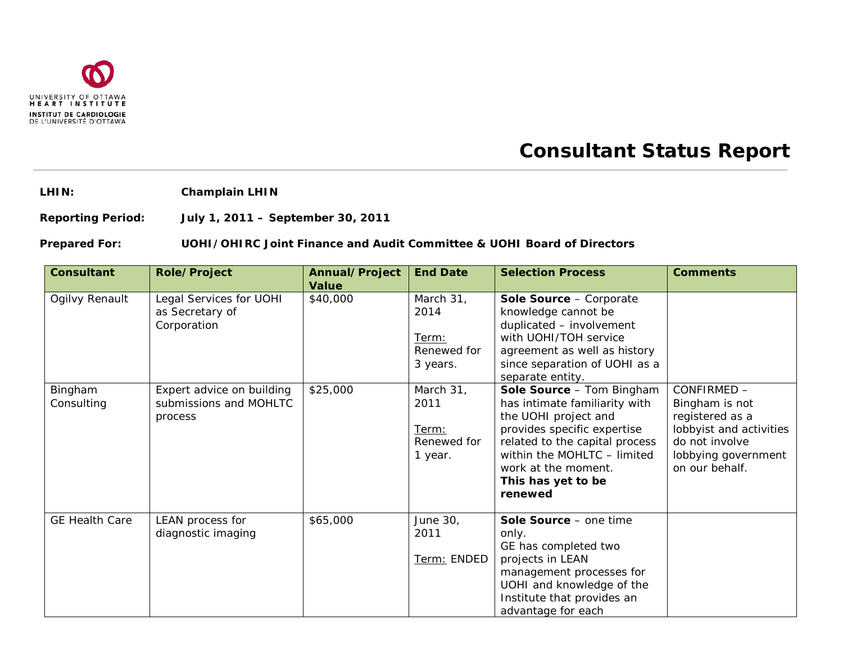

## **Consultant Status Report**

**LHIN: Champlain LHIN**

**Reporting Period: July 1, 2011 – September 30, 2011**

## **Prepared For: UOHI/OHIRC Joint Finance and Audit Committee & UOHI Board of Directors**

| <b>Consultant</b>     | <b>Role/Project</b>                                            | Annual/Project<br><b>Value</b> | <b>End Date</b>                                       | <b>Selection Process</b>                                                                                                                                                                                                                   | <b>Comments</b>                                                                                                                        |
|-----------------------|----------------------------------------------------------------|--------------------------------|-------------------------------------------------------|--------------------------------------------------------------------------------------------------------------------------------------------------------------------------------------------------------------------------------------------|----------------------------------------------------------------------------------------------------------------------------------------|
| Ogilvy Renault        | Legal Services for UOHI<br>as Secretary of<br>Corporation      | \$40,000                       | March 31,<br>2014<br>Term:<br>Renewed for<br>3 years. | Sole Source - Corporate<br>knowledge cannot be<br>duplicated - involvement<br>with UOHI/TOH service<br>agreement as well as history<br>since separation of UOHI as a<br>separate entity.                                                   |                                                                                                                                        |
| Bingham<br>Consulting | Expert advice on building<br>submissions and MOHLTC<br>process | \$25,000                       | March 31,<br>2011<br>Term:<br>Renewed for<br>1 year.  | Sole Source - Tom Bingham<br>has intimate familiarity with<br>the UOHI project and<br>provides specific expertise<br>related to the capital process<br>within the MOHLTC - limited<br>work at the moment.<br>This has yet to be<br>renewed | CONFIRMED -<br>Bingham is not<br>registered as a<br>lobbyist and activities<br>do not involve<br>lobbying government<br>on our behalf. |
| <b>GE Health Care</b> | LEAN process for<br>diagnostic imaging                         | \$65,000                       | June 30,<br>2011<br>Term: ENDED                       | Sole Source - one time<br>only.<br>GE has completed two<br>projects in LEAN<br>management processes for<br>UOHI and knowledge of the<br>Institute that provides an<br>advantage for each                                                   |                                                                                                                                        |